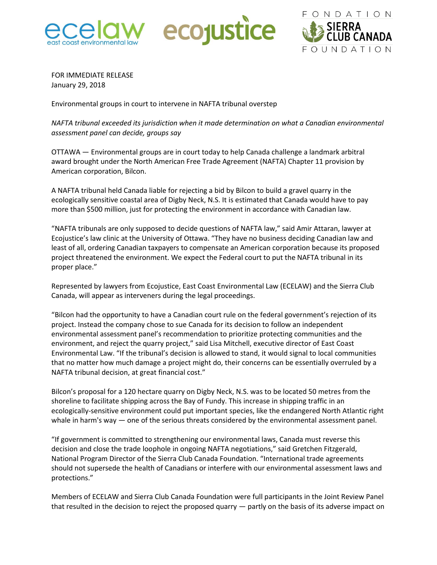





FOR IMMEDIATE RELEASE January 29, 2018

Environmental groups in court to intervene in NAFTA tribunal overstep

*NAFTA tribunal exceeded its jurisdiction when it made determination on what a Canadian environmental assessment panel can decide, groups say*

OTTAWA — Environmental groups are in court today to help Canada challenge a landmark arbitral award brought under the North American Free Trade Agreement (NAFTA) Chapter 11 provision by American corporation, Bilcon.

A NAFTA tribunal held Canada liable for rejecting a bid by Bilcon to build a gravel quarry in the ecologically sensitive coastal area of Digby Neck, N.S. It is estimated that Canada would have to pay more than \$500 million, just for protecting the environment in accordance with Canadian law.

"NAFTA tribunals are only supposed to decide questions of NAFTA law," said Amir Attaran, lawyer at Ecojustice's law clinic at the University of Ottawa. "They have no business deciding Canadian law and least of all, ordering Canadian taxpayers to compensate an American corporation because its proposed project threatened the environment. We expect the Federal court to put the NAFTA tribunal in its proper place."

Represented by lawyers from Ecojustice, East Coast Environmental Law (ECELAW) and the Sierra Club Canada, will appear as interveners during the legal proceedings.

"Bilcon had the opportunity to have a Canadian court rule on the federal government's rejection of its project. Instead the company chose to sue Canada for its decision to follow an independent environmental assessment panel's recommendation to prioritize protecting communities and the environment, and reject the quarry project," said Lisa Mitchell, executive director of East Coast Environmental Law. "If the tribunal's decision is allowed to stand, it would signal to local communities that no matter how much damage a project might do, their concerns can be essentially overruled by a NAFTA tribunal decision, at great financial cost."

Bilcon's proposal for a 120 hectare quarry on Digby Neck, N.S. was to be located 50 metres from the shoreline to facilitate shipping across the Bay of Fundy. This increase in shipping traffic in an ecologically-sensitive environment could put important species, like the endangered North Atlantic right whale in harm's way — one of the serious threats considered by the environmental assessment panel.

"If government is committed to strengthening our environmental laws, Canada must reverse this decision and close the trade loophole in ongoing NAFTA negotiations," said Gretchen Fitzgerald, National Program Director of the Sierra Club Canada Foundation. "International trade agreements should not supersede the health of Canadians or interfere with our environmental assessment laws and protections."

Members of ECELAW and Sierra Club Canada Foundation were full participants in the Joint Review Panel that resulted in the decision to reject the proposed quarry — partly on the basis of its adverse impact on